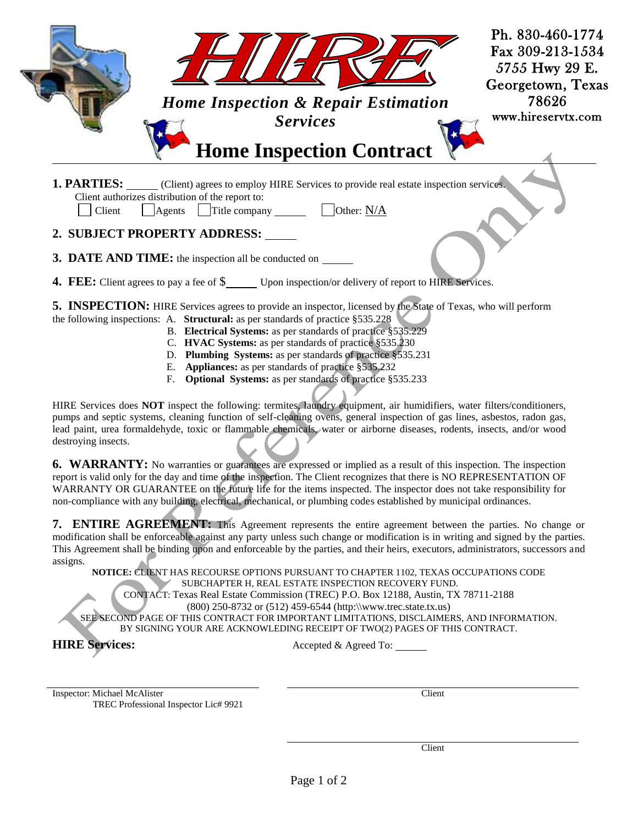|                                                                                                      | <b>Home Inspection &amp; Repair Estimation</b><br><b>Services</b><br><b>Home Inspection Contract</b>                                  | Ph. 830-460-1774<br>Fax 309-213-1534<br>5755 Hwy 29 E.<br>Georgetown, Texas<br>78626<br>www.hireservtx.com |
|------------------------------------------------------------------------------------------------------|---------------------------------------------------------------------------------------------------------------------------------------|------------------------------------------------------------------------------------------------------------|
| Client authorizes distribution of the report to:<br>Agents<br>Client<br>2. SUBJECT PROPERTY ADDRESS: | <b>1. PARTIES:</b> (Client) agrees to employ HIRE Services to provide real estate inspection services.<br>Other: N/A<br>Title company |                                                                                                            |

- **3. DATE AND TIME:** the inspection all be conducted on
- **4. FEE:** Client agrees to pay a fee of  $\$\$  Upon inspection/or delivery of report to HIRE Services.

**5. INSPECTION:** HIRE Services agrees to provide an inspector, licensed by the State of Texas, who will perform

- the following inspections: A. **Structural:** as per standards of practice §535.228
	- B. **Electrical Systems:** as per standards of practice §535.229
	- C. **HVAC Systems:** as per standards of practice §535.230
	- D. **Plumbing Systems:** as per standards of practice §535.231
	- E. **Appliances:** as per standards of practice §535.232
	- F. **Optional Systems:** as per standards of practice §535.233

HIRE Services does **NOT** inspect the following: termites, laundry equipment, air humidifiers, water filters/conditioners, pumps and septic systems, cleaning function of self-cleaning ovens, general inspection of gas lines, asbestos, radon gas, lead paint, urea formaldehyde, toxic or flammable chemicals, water or airborne diseases, rodents, insects, and/or wood destroying insects.

**6. WARRANTY:** No warranties or guarantees are expressed or implied as a result of this inspection. The inspection report is valid only for the day and time of the inspection. The Client recognizes that there is NO REPRESENTATION OF WARRANTY OR GUARANTEE on the future life for the items inspected. The inspector does not take responsibility for non-compliance with any building, electrical, mechanical, or plumbing codes established by municipal ordinances.

**7. ENTIRE AGREEMENT:** This Agreement represents the entire agreement between the parties. No change or modification shall be enforceable against any party unless such change or modification is in writing and signed by the parties. This Agreement shall be binding upon and enforceable by the parties, and their heirs, executors, administrators, successors and assigns.

**NOTICE:** CLIENT HAS RECOURSE OPTIONS PURSUANT TO CHAPTER 1102, TEXAS OCCUPATIONS CODE SUBCHAPTER H, REAL ESTATE INSPECTION RECOVERY FUND. CONTACT: Texas Real Estate Commission (TREC) P.O. Box 12188, Austin, TX 78711-2188 (800) 250-8732 or (512) 459-6544 (http:\\www.trec.state.tx.us) SEE SECOND PAGE OF THIS CONTRACT FOR IMPORTANT LIMITATIONS, DISCLAIMERS, AND INFORMATION. BY SIGNING YOUR ARE ACKNOWLEDING RECEIPT OF TWO(2) PAGES OF THIS CONTRACT.

**HIRE Services:** Accepted & Agreed To:

Inspector: Michael McAlister Client TREC Professional Inspector Lic# 9921

Client